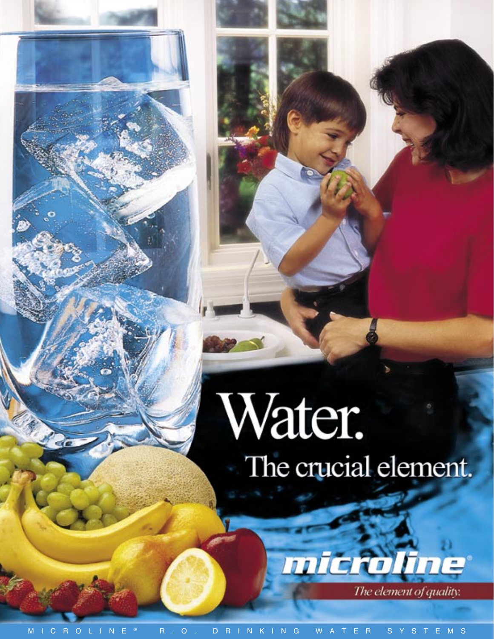# Water. The crucial element.

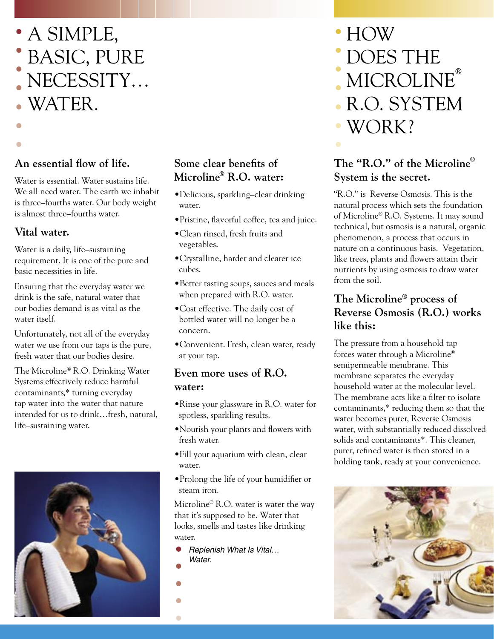

## **An essential flow of life.**

Water is essential. Water sustains life. We all need water. The earth we inhabit is three–fourths water. Our body weight is almost three–fourths water.

### **Vital water.**

**•**

Water is a daily, life–sustaining requirement. It is one of the pure and basic necessities in life.

Ensuring that the everyday water we drink is the safe, natural water that our bodies demand is as vital as the water itself.

Unfortunately, not all of the everyday water we use from our taps is the pure, fresh water that our bodies desire.

The Microline® R.O. Drinking Water Systems effectively reduce harmful contaminants,\* turning everyday tap water into the water that nature intended for us to drink…fresh, natural, life–sustaining water.



#### **Some clear benefits of Microline® R.O. water:**

- •Delicious, sparkling–clear drinking water.
- •Pristine, flavorful coffee, tea and juice.
- •Clean rinsed, fresh fruits and vegetables.
- •Crystalline, harder and clearer ice cubes.
- •Better tasting soups, sauces and meals when prepared with R.O. water.
- •Cost effective. The daily cost of bottled water will no longer be a concern.
- •Convenient. Fresh, clean water, ready at your tap.

#### **Even more uses of R.O. water:**

- •Rinse your glassware in R.O. water for spotless, sparkling results.
- •Nourish your plants and flowers with fresh water.
- •Fill your aquarium with clean, clear water.
- •Prolong the life of your humidifier or steam iron.

Microline® R.O. water is water the way that it's supposed to be. Water that looks, smells and tastes like drinking water.

- Replenish What Is Vital… Water. **• •**
- **•**

**•**

**•**

#### MICROLINE**®** R.O. SYSTEM **• •**

**•**

**•**

**•**

WORK? **•**

HOW **•**

DOES THE

## **The "R.O." of the Microline® System is the secret.**

"R.O." is Reverse Osmosis. This is the natural process which sets the foundation of Microline® R.O. Systems. It may sound technical, but osmosis is a natural, organic phenomenon, a process that occurs in nature on a continuous basis. Vegetation, like trees, plants and flowers attain their nutrients by using osmosis to draw water from the soil.

### **The Microline® process of Reverse Osmosis (R.O.) works like this:**

The pressure from a household tap forces water through a Microline® semipermeable membrane. This membrane separates the everyday household water at the molecular level. The membrane acts like a filter to isolate contaminants,\* reducing them so that the water becomes purer, Reverse Osmosis water, with substantially reduced dissolved solids and contaminants\*. This cleaner, purer, refined water is then stored in a holding tank, ready at your convenience.

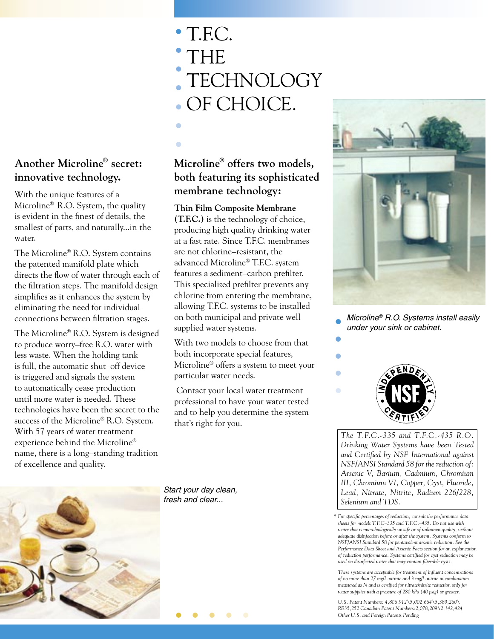#### **Another Microline® secret: innovative technology.**

With the unique features of a Microline® R.O. System, the quality is evident in the finest of details, the smallest of parts, and naturally...in the water.

The Microline® R.O. System contains the patented manifold plate which directs the flow of water through each of the filtration steps. The manifold design simplifies as it enhances the system by eliminating the need for individual connections between filtration stages.

The Microline® R.O. System is designed to produce worry–free R.O. water with less waste. When the holding tank is full, the automatic shut–off device is triggered and signals the system to automatically cease production until more water is needed. These technologies have been the secret to the success of the Microline® R.O. System. With 57 years of water treatment experience behind the Microline® name, there is a long–standing tradition of excellence and quality.

- T.F.C. **•** THE **TECHNOLOGY** OF CHOICE. **• • • • •**
- **Microline® offers two models, both featuring its sophisticated membrane technology:**

**•**

**Thin Film Composite Membrane (T.F.C.)** is the technology of choice, producing high quality drinking water at a fast rate. Since T.F.C. membranes are not chlorine–resistant, the advanced Microline® T.F.C. system features a sediment–carbon prefilter. This specialized prefilter prevents any chlorine from entering the membrane, allowing T.F.C. systems to be installed on both municipal and private well supplied water systems.

With two models to choose from that both incorporate special features, Microline® offers a system to meet your particular water needs.

 Contact your local water treatment professional to have your water tested and to help you determine the system that's right for you.



Microline® R.O. Systems install easily under your sink or cabinet. **• •**



**•**

**•**

**•**

*The T.F.C.-335 and T.F.C.-435 R.O. Drinking Water Systems have been Tested and Certified by NSF International against NSF/ANSI Standard 58 for the reduction of: Arsenic V, Barium, Cadmium, Chromium III, Chromium VI, Copper, Cyst, Fluoride, Lead, Nitrate, Nitrite, Radium 226/228, Selenium and TDS.* 

*\* For specific percentages of reduction, consult the performance data sheets for models T.F.C–335 and T.F.C.–435. Do not use with water that is microbiologically unsafe or of unknown quality, without adequate disinfection before or after the system. Systems conform to NSF/ANSI Standard 58 for pentavalent arsenic reduction. See the Performance Data Sheet and Arsenic Facts section for an explancation of reduction performance. Systems certified for cyst reduction may be used on disinfected water that may contain filterable cysts.* 

 *These systems are acceptable for treatment of influent concentrations of no more than 27 mg/L nitrate and 3 mg/L nitrite in combination measured as N and is certified for nitrate/nitrite reduction only for water supplies with a pressure of 280 kPa (40 psig) or greater.*

 *U.S. Patent Numbers: 4,806,912\5,002,664\5,389,260\ RE35,252 Canadian Patent Numbers:2,078,209\2,142,424 Other U.S. and Foreign Patents Pending*



Start your day clean, fresh and clear...

**• • • • •**